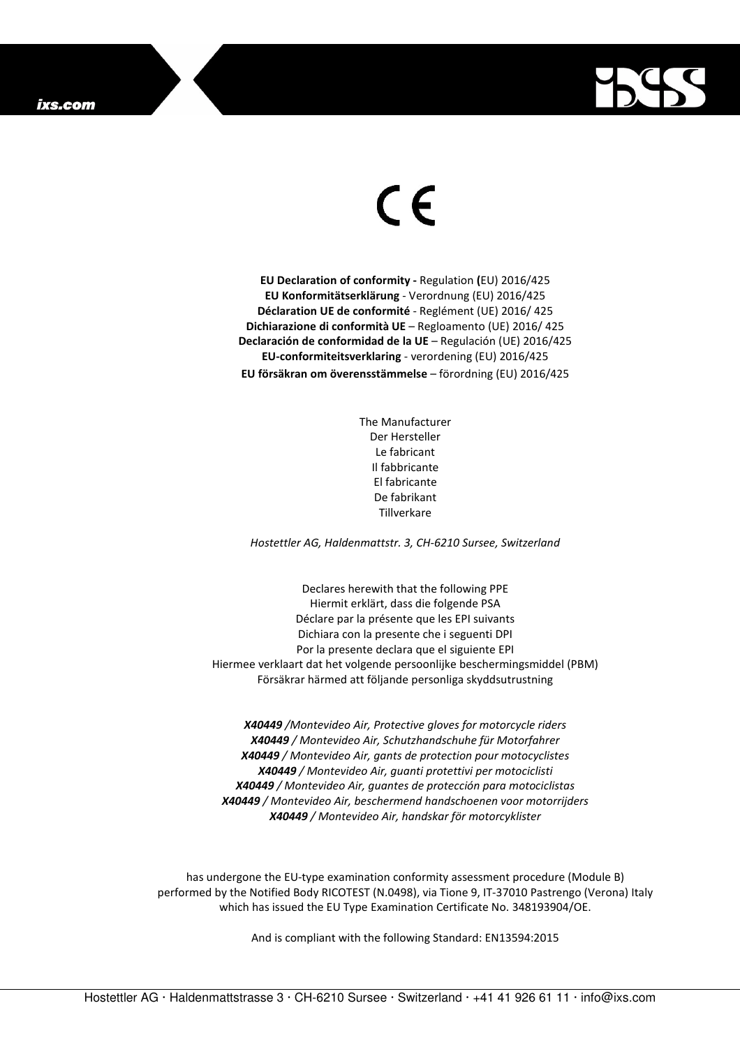

## $\in$

**EU Declaration of conformity -** Regulation **(**EU) 2016/425 **EU Konformitätserklärung** - Verordnung (EU) 2016/425 **Déclaration UE de conformité** - Reglément (UE) 2016/ 425 **Dichiarazione di conformità UE** – Regloamento (UE) 2016/ 425 **Declaración de conformidad de la UE** – Regulación (UE) 2016/425 **EU-conformiteitsverklaring** - verordening (EU) 2016/425 **EU försäkran om överensstämmelse** – förordning (EU) 2016/425

> The Manufacturer Der Hersteller Le fabricant Il fabbricante El fabricante De fabrikant Tillverkare

*Hostettler AG, Haldenmattstr. 3, CH-6210 Sursee, Switzerland* 

Declares herewith that the following PPE Hiermit erklärt, dass die folgende PSA Déclare par la présente que les EPI suivants Dichiara con la presente che i seguenti DPI Por la presente declara que el siguiente EPI Hiermee verklaart dat het volgende persoonlijke beschermingsmiddel (PBM) Försäkrar härmed att följande personliga skyddsutrustning

*X40449 /Montevideo Air, Protective gloves for motorcycle riders X40449 / Montevideo Air, Schutzhandschuhe für Motorfahrer X40449 / Montevideo Air, gants de protection pour motocyclistes X40449 / Montevideo Air, guanti protettivi per motociclisti X40449 / Montevideo Air, guantes de protección para motociclistas X40449 / Montevideo Air, beschermend handschoenen voor motorrijders X40449 / Montevideo Air, handskar för motorcyklister* 

has undergone the EU-type examination conformity assessment procedure (Module B) performed by the Notified Body RICOTEST (N.0498), via Tione 9, IT-37010 Pastrengo (Verona) Italy which has issued the EU Type Examination Certificate No. 348193904/OE.

And is compliant with the following Standard: EN13594:2015